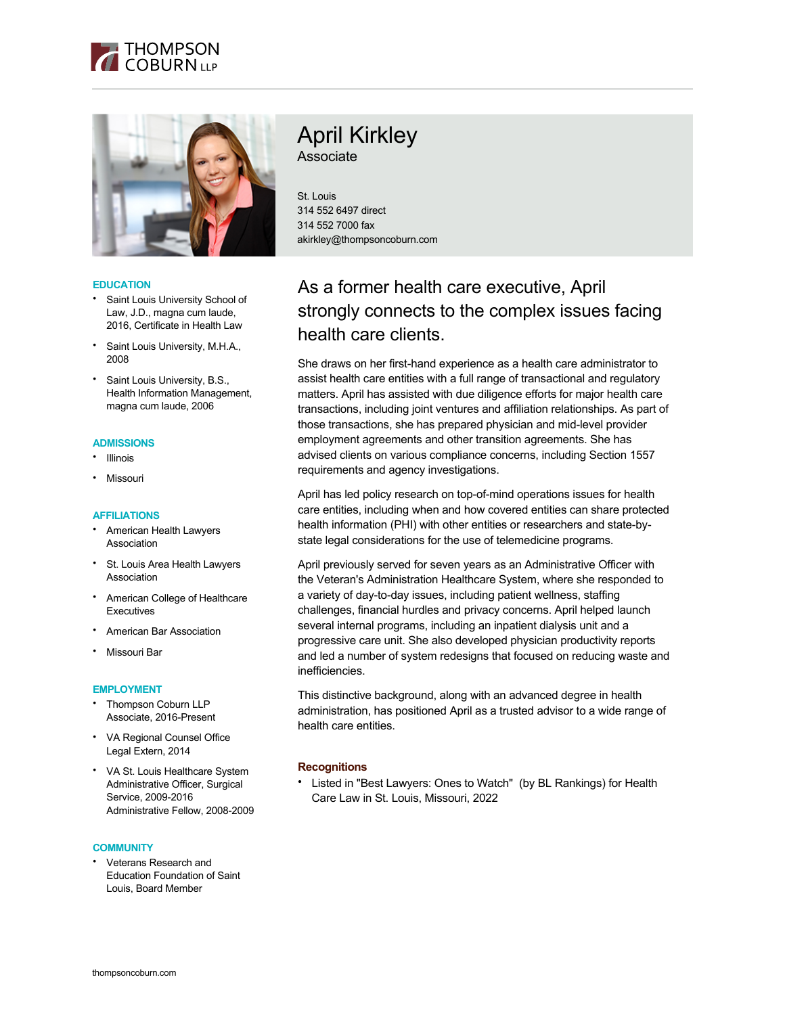



# **EDUCATION**

- Saint Louis University School of Law, J.D., magna cum laude, 2016, Certificate in Health Law
- Saint Louis University, M.H.A., 2008
- Saint Louis University, B.S., Health Information Management, magna cum laude, 2006

#### **ADMISSIONS**

- Illinois
- Missouri

# **AFFILIATIONS**

- American Health Lawyers Association
- St. Louis Area Health Lawyers Association
- American College of Healthcare **Executives**
- American Bar Association
- Missouri Bar

### **EMPLOYMENT**

- Thompson Coburn LLP Associate, 2016-Present
- VA Regional Counsel Office Legal Extern, 2014
- VA St. Louis Healthcare System Administrative Officer, Surgical Service, 2009-2016 Administrative Fellow, 2008-2009

#### **COMMUNITY**

• Veterans Research and Education Foundation of Saint Louis, Board Member

# April Kirkley

Associate

St. Louis 314 552 6497 direct 314 552 7000 fax akirkley@thompsoncoburn.com

# As a former health care executive, April strongly connects to the complex issues facing health care clients.

She draws on her first-hand experience as a health care administrator to assist health care entities with a full range of transactional and regulatory matters. April has assisted with due diligence efforts for major health care transactions, including joint ventures and affiliation relationships. As part of those transactions, she has prepared physician and mid-level provider employment agreements and other transition agreements. She has advised clients on various compliance concerns, including Section 1557 requirements and agency investigations.

April has led policy research on top-of-mind operations issues for health care entities, including when and how covered entities can share protected health information (PHI) with other entities or researchers and state-bystate legal considerations for the use of telemedicine programs.

April previously served for seven years as an Administrative Officer with the Veteran's Administration Healthcare System, where she responded to a variety of day-to-day issues, including patient wellness, staffing challenges, financial hurdles and privacy concerns. April helped launch several internal programs, including an inpatient dialysis unit and a progressive care unit. She also developed physician productivity reports and led a number of system redesigns that focused on reducing waste and inefficiencies.

This distinctive background, along with an advanced degree in health administration, has positioned April as a trusted advisor to a wide range of health care entities.

# **Recognitions**

• Listed in "Best Lawyers: Ones to Watch" (by BL Rankings) for Health Care Law in St. Louis, Missouri, 2022